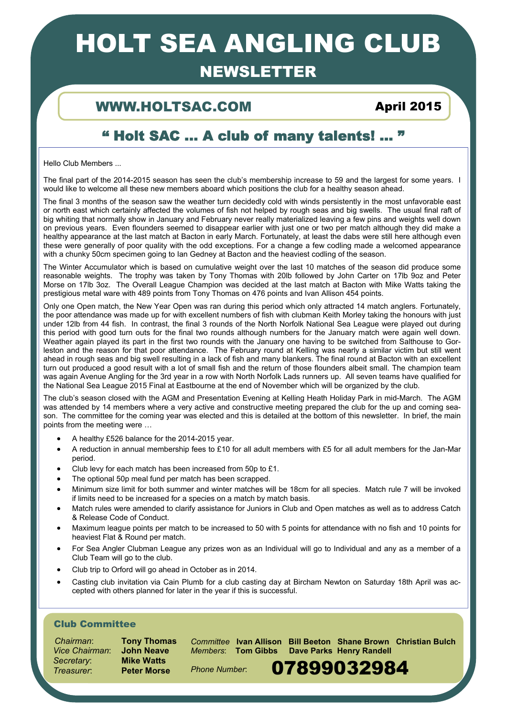# HOLT SEA ANGLING CLUB

## NEWSLETTER

### WWW.HOLTSAC.COM April 2015

## " Holt SAC … A club of many talents! ... "

Hello Club Members ...

The final part of the 2014-2015 season has seen the club's membership increase to 59 and the largest for some years. I would like to welcome all these new members aboard which positions the club for a healthy season ahead.

The final 3 months of the season saw the weather turn decidedly cold with winds persistently in the most unfavorable east or north east which certainly affected the volumes of fish not helped by rough seas and big swells. The usual final raft of big whiting that normally show in January and February never really materialized leaving a few pins and weights well down on previous years. Even flounders seemed to disappear earlier with just one or two per match although they did make a healthy appearance at the last match at Bacton in early March. Fortunately, at least the dabs were still here although even these were generally of poor quality with the odd exceptions. For a change a few codling made a welcomed appearance with a chunky 50cm specimen going to Ian Gedney at Bacton and the heaviest codling of the season.

The Winter Accumulator which is based on cumulative weight over the last 10 matches of the season did produce some reasonable weights. The trophy was taken by Tony Thomas with 20lb followed by John Carter on 17lb 9oz and Peter Morse on 17lb 3oz. The Overall League Champion was decided at the last match at Bacton with Mike Watts taking the prestigious metal ware with 489 points from Tony Thomas on 476 points and Ivan Allison 454 points.

Only one Open match, the New Year Open was ran during this period which only attracted 14 match anglers. Fortunately, the poor attendance was made up for with excellent numbers of fish with clubman Keith Morley taking the honours with just under 12lb from 44 fish. In contrast, the final 3 rounds of the North Norfolk National Sea League were played out during this period with good turn outs for the final two rounds although numbers for the January match were again well down. Weather again played its part in the first two rounds with the January one having to be switched from Salthouse to Gorleston and the reason for that poor attendance. The February round at Kelling was nearly a similar victim but still went ahead in rough seas and big swell resulting in a lack of fish and many blankers. The final round at Bacton with an excellent turn out produced a good result with a lot of small fish and the return of those flounders albeit small. The champion team was again Avenue Angling for the 3rd year in a row with North Norfolk Lads runners up. All seven teams have qualified for the National Sea League 2015 Final at Eastbourne at the end of November which will be organized by the club.

The club's season closed with the AGM and Presentation Evening at Kelling Heath Holiday Park in mid-March. The AGM was attended by 14 members where a very active and constructive meeting prepared the club for the up and coming season. The committee for the coming year was elected and this is detailed at the bottom of this newsletter. In brief, the main points from the meeting were …

- A healthy £526 balance for the 2014-2015 year.
- A reduction in annual membership fees to £10 for all adult members with £5 for all adult members for the Jan-Mar period.
- Club levy for each match has been increased from 50p to £1.
- The optional 50p meal fund per match has been scrapped.
- Minimum size limit for both summer and winter matches will be 18cm for all species. Match rule 7 will be invoked if limits need to be increased for a species on a match by match basis.
- Match rules were amended to clarify assistance for Juniors in Club and Open matches as well as to address Catch & Release Code of Conduct.
- Maximum league points per match to be increased to 50 with 5 points for attendance with no fish and 10 points for heaviest Flat & Round per match.
- For Sea Angler Clubman League any prizes won as an Individual will go to Individual and any as a member of a Club Team will go to the club.
- Club trip to Orford will go ahead in October as in 2014.
- Casting club invitation via Cain Plumb for a club casting day at Bircham Newton on Saturday 18th April was accepted with others planned for later in the year if this is successful.

### Club Committee

 *Chairman*: **Tony Thomas** *Vice Chairman*: **John Neave** *Secretary*: **Mike Watts** Treasurer: **Preter Morse** Phone Number: **07899032984** 

1

*Committee* **Ivan Allison Bill Beeton Shane Brown Christian Bulch**  *Members*: **Tom Gibbs Dave Parks Henry Randell** 

*Phone Number*: